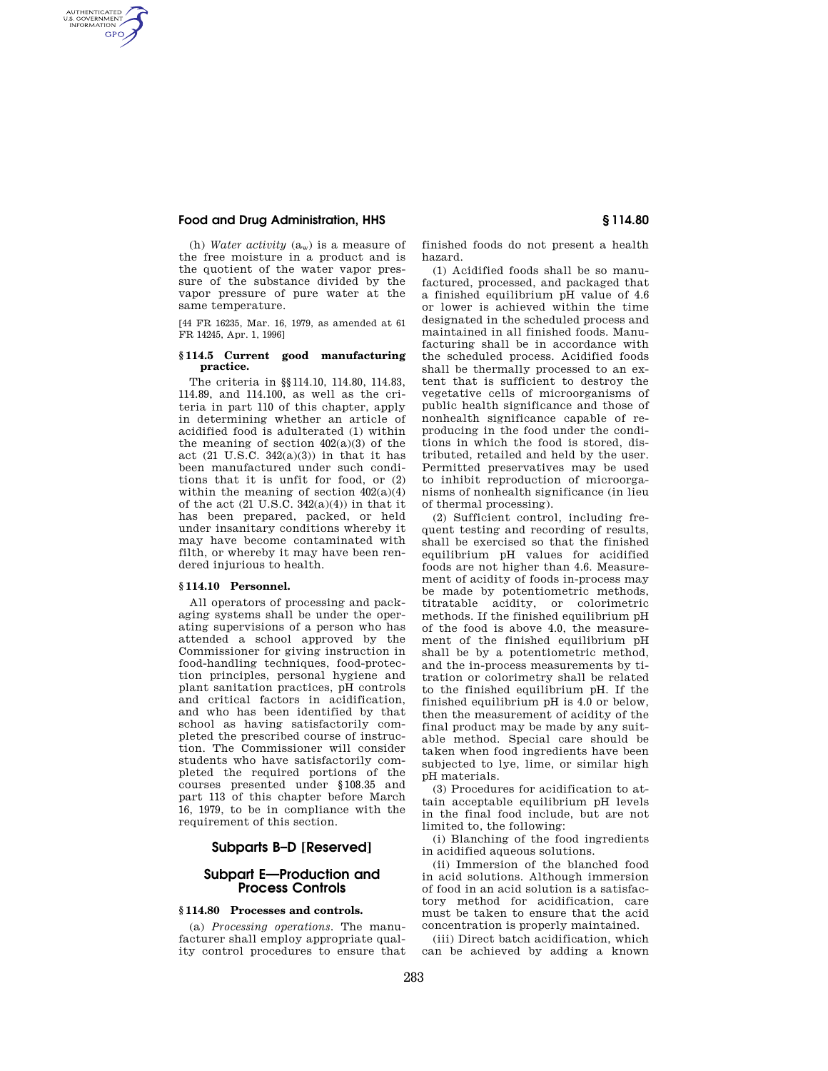## **Food and Drug Administration, HHS § 114.80**

AUTHENTICATED<br>U.S. GOVERNMENT<br>INFORMATION **GPO** 

> (h) *Water activity* (aw) is a measure of the free moisture in a product and is the quotient of the water vapor pressure of the substance divided by the vapor pressure of pure water at the same temperature.

[44 FR 16235, Mar. 16, 1979, as amended at 61 FR 14245, Apr. 1, 1996]

#### **§ 114.5 Current good manufacturing practice.**

The criteria in §§114.10, 114.80, 114.83, 114.89, and 114.100, as well as the criteria in part 110 of this chapter, apply in determining whether an article of acidified food is adulterated (1) within the meaning of section 402(a)(3) of the act  $(21 \text{ U.S.C. } 342(a)(3))$  in that it has been manufactured under such conditions that it is unfit for food, or (2) within the meaning of section  $402(a)(4)$ of the act  $(21 \text{ U.S.C. } 342(a)(4))$  in that it has been prepared, packed, or held under insanitary conditions whereby it may have become contaminated with filth, or whereby it may have been rendered injurious to health.

#### **§ 114.10 Personnel.**

All operators of processing and packaging systems shall be under the operating supervisions of a person who has attended a school approved by the Commissioner for giving instruction in food-handling techniques, food-protection principles, personal hygiene and plant sanitation practices, pH controls and critical factors in acidification, and who has been identified by that school as having satisfactorily completed the prescribed course of instruction. The Commissioner will consider students who have satisfactorily completed the required portions of the courses presented under §108.35 and part 113 of this chapter before March 16, 1979, to be in compliance with the requirement of this section.

## **Subparts B–D [Reserved]**

## **Subpart E—Production and Process Controls**

## **§ 114.80 Processes and controls.**

(a) *Processing operations.* The manufacturer shall employ appropriate quality control procedures to ensure that finished foods do not present a health hazard.

(1) Acidified foods shall be so manufactured, processed, and packaged that a finished equilibrium pH value of 4.6 or lower is achieved within the time designated in the scheduled process and maintained in all finished foods. Manufacturing shall be in accordance with the scheduled process. Acidified foods shall be thermally processed to an extent that is sufficient to destroy the vegetative cells of microorganisms of public health significance and those of nonhealth significance capable of reproducing in the food under the conditions in which the food is stored, distributed, retailed and held by the user. Permitted preservatives may be used to inhibit reproduction of microorganisms of nonhealth significance (in lieu of thermal processing).

(2) Sufficient control, including frequent testing and recording of results, shall be exercised so that the finished equilibrium pH values for acidified foods are not higher than 4.6. Measurement of acidity of foods in-process may be made by potentiometric methods, titratable acidity, or colorimetric methods. If the finished equilibrium pH of the food is above 4.0, the measurement of the finished equilibrium pH shall be by a potentiometric method, and the in-process measurements by titration or colorimetry shall be related to the finished equilibrium pH. If the finished equilibrium pH is 4.0 or below, then the measurement of acidity of the final product may be made by any suitable method. Special care should be taken when food ingredients have been subjected to lye, lime, or similar high pH materials.

(3) Procedures for acidification to attain acceptable equilibrium pH levels in the final food include, but are not limited to, the following:

(i) Blanching of the food ingredients in acidified aqueous solutions.

(ii) Immersion of the blanched food in acid solutions. Although immersion of food in an acid solution is a satisfactory method for acidification, care must be taken to ensure that the acid concentration is properly maintained.

(iii) Direct batch acidification, which can be achieved by adding a known